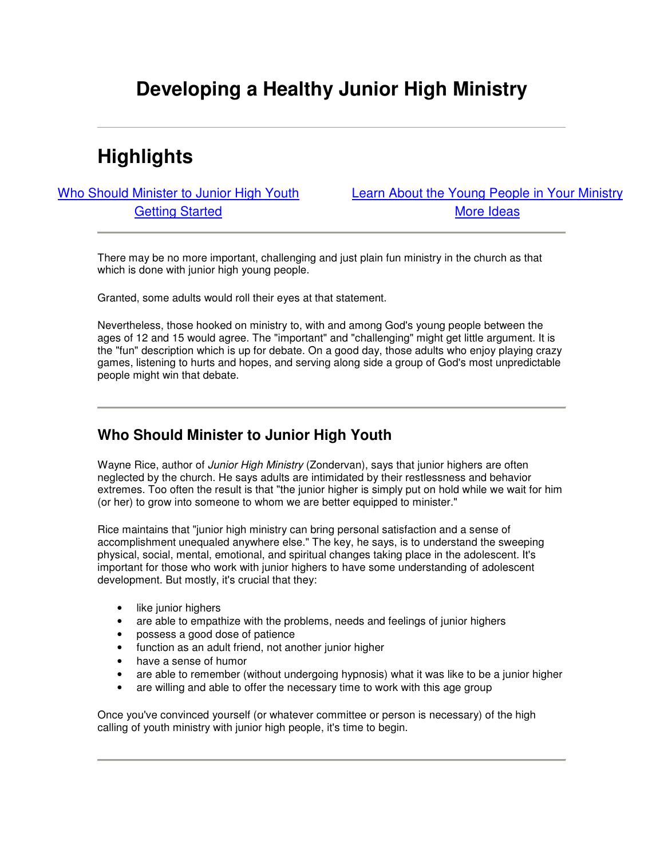# **Developing a Healthy Junior High Ministry**

# **Highlights**

Who Should Minister to Junior High Youth Learn About the Young People in Your Ministry Getting Started **More Ideas** 

There may be no more important, challenging and just plain fun ministry in the church as that which is done with junior high young people.

Granted, some adults would roll their eyes at that statement.

Nevertheless, those hooked on ministry to, with and among God's young people between the ages of 12 and 15 would agree. The "important" and "challenging" might get little argument. It is the "fun" description which is up for debate. On a good day, those adults who enjoy playing crazy games, listening to hurts and hopes, and serving along side a group of God's most unpredictable people might win that debate.

### **Who Should Minister to Junior High Youth**

Wayne Rice, author of *Junior High Ministry* (Zondervan), says that junior highers are often neglected by the church. He says adults are intimidated by their restlessness and behavior extremes. Too often the result is that "the junior higher is simply put on hold while we wait for him (or her) to grow into someone to whom we are better equipped to minister."

Rice maintains that "junior high ministry can bring personal satisfaction and a sense of accomplishment unequaled anywhere else." The key, he says, is to understand the sweeping physical, social, mental, emotional, and spiritual changes taking place in the adolescent. It's important for those who work with junior highers to have some understanding of adolescent development. But mostly, it's crucial that they:

- like junior highers
- are able to empathize with the problems, needs and feelings of junior highers
- possess a good dose of patience
- function as an adult friend, not another junior higher
- have a sense of humor
- are able to remember (without undergoing hypnosis) what it was like to be a junior higher
- are willing and able to offer the necessary time to work with this age group

Once you've convinced yourself (or whatever committee or person is necessary) of the high calling of youth ministry with junior high people, it's time to begin.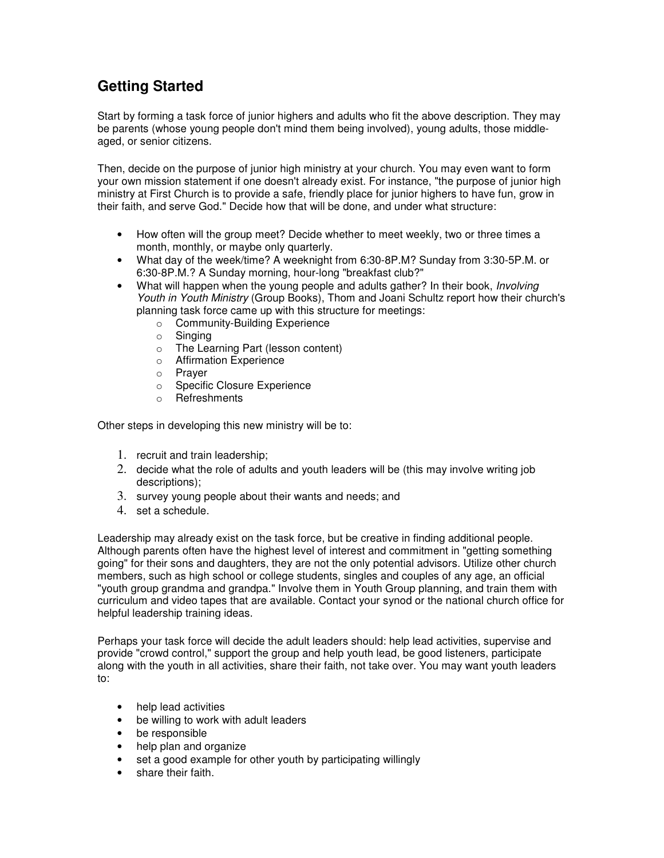## **Getting Started**

Start by forming a task force of junior highers and adults who fit the above description. They may be parents (whose young people don't mind them being involved), young adults, those middleaged, or senior citizens.

Then, decide on the purpose of junior high ministry at your church. You may even want to form your own mission statement if one doesn't already exist. For instance, "the purpose of junior high ministry at First Church is to provide a safe, friendly place for junior highers to have fun, grow in their faith, and serve God." Decide how that will be done, and under what structure:

- How often will the group meet? Decide whether to meet weekly, two or three times a month, monthly, or maybe only quarterly.
- What day of the week/time? A weeknight from 6:30-8P.M? Sunday from 3:30-5P.M. or 6:30-8P.M.? A Sunday morning, hour-long "breakfast club?"
- What will happen when the young people and adults gather? In their book, *Involving Youth in Youth Ministry* (Group Books), Thom and Joani Schultz report how their church's planning task force came up with this structure for meetings:
	- o Community-Building Experience
	- $\circ$  Singing
	- o The Learning Part (lesson content)
	- o Affirmation Experience
	- o Prayer
	- o Specific Closure Experience
	- o Refreshments

Other steps in developing this new ministry will be to:

- 1. recruit and train leadership;
- 2. decide what the role of adults and youth leaders will be (this may involve writing job descriptions);
- 3. survey young people about their wants and needs; and
- 4. set a schedule.

Leadership may already exist on the task force, but be creative in finding additional people. Although parents often have the highest level of interest and commitment in "getting something going" for their sons and daughters, they are not the only potential advisors. Utilize other church members, such as high school or college students, singles and couples of any age, an official "youth group grandma and grandpa." Involve them in Youth Group planning, and train them with curriculum and video tapes that are available. Contact your synod or the national church office for helpful leadership training ideas.

Perhaps your task force will decide the adult leaders should: help lead activities, supervise and provide "crowd control," support the group and help youth lead, be good listeners, participate along with the youth in all activities, share their faith, not take over. You may want youth leaders to:

- help lead activities
- be willing to work with adult leaders
- be responsible
- help plan and organize
- set a good example for other youth by participating willingly
- share their faith.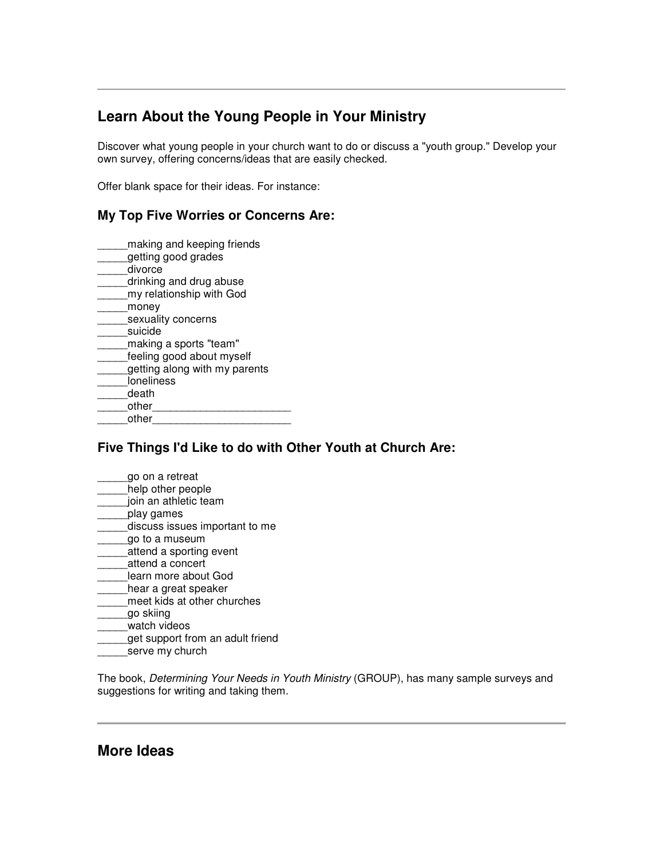## **Learn About the Young People in Your Ministry**

Discover what young people in your church want to do or discuss a "youth group." Develop your own survey, offering concerns/ideas that are easily checked.

Offer blank space for their ideas. For instance:

#### **My Top Five Worries or Concerns Are:**

- \_\_\_\_\_making and keeping friends getting good grades
- \_\_\_\_\_divorce
- \_\_\_\_\_drinking and drug abuse
- \_\_\_\_\_my relationship with God
- \_\_\_\_\_money
- \_\_\_\_\_sexuality concerns
- suicide
- \_\_\_\_\_making a sports "team"
- \_\_\_\_\_feeling good about myself
- \_\_\_\_\_getting along with my parents
- \_\_\_\_\_loneliness
- death
- other
- \_\_\_\_\_other\_\_\_\_\_\_\_\_\_\_\_\_\_\_\_\_\_\_\_\_\_\_\_

### **Five Things I'd Like to do with Other Youth at Church Are:**

- \_\_\_\_\_go on a retreat
- help other people
- \_\_\_\_\_join an athletic team
- \_\_\_\_\_play games
- discuss issues important to me
- \_\_\_\_\_go to a museum
- \_\_\_\_\_attend a sporting event
- \_\_\_\_\_attend a concert
- \_\_\_\_\_learn more about God hear a great speaker
- \_\_\_\_\_meet kids at other churches
- \_\_\_\_\_go skiing
- watch videos
- get support from an adult friend
- serve my church

The book, *Determining Your Needs in Youth Ministry* (GROUP), has many sample surveys and suggestions for writing and taking them.

### **More Ideas**